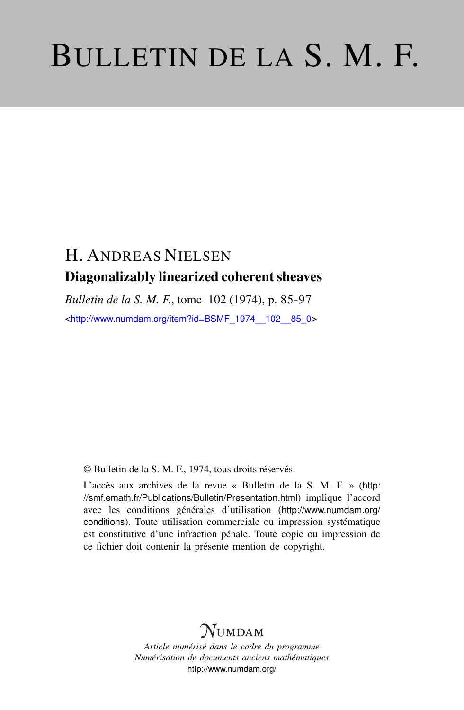# BULLETIN DE LA S. M. F.

# H. ANDREAS NIELSEN Diagonalizably linearized coherent sheaves

*Bulletin de la S. M. F.*, tome 102 (1974), p. 85-97 <[http://www.numdam.org/item?id=BSMF\\_1974\\_\\_102\\_\\_85\\_0](http://www.numdam.org/item?id=BSMF_1974__102__85_0)>

© Bulletin de la S. M. F., 1974, tous droits réservés.

L'accès aux archives de la revue « Bulletin de la S. M. F. » ([http:](http://smf.emath.fr/Publications/Bulletin/Presentation.html) [//smf.emath.fr/Publications/Bulletin/Presentation.html](http://smf.emath.fr/Publications/Bulletin/Presentation.html)) implique l'accord avec les conditions générales d'utilisation ([http://www.numdam.org/](http://www.numdam.org/conditions) [conditions](http://www.numdam.org/conditions)). Toute utilisation commerciale ou impression systématique est constitutive d'une infraction pénale. Toute copie ou impression de ce fichier doit contenir la présente mention de copyright.

## NUMDAM

*Article numérisé dans le cadre du programme Numérisation de documents anciens mathématiques* <http://www.numdam.org/>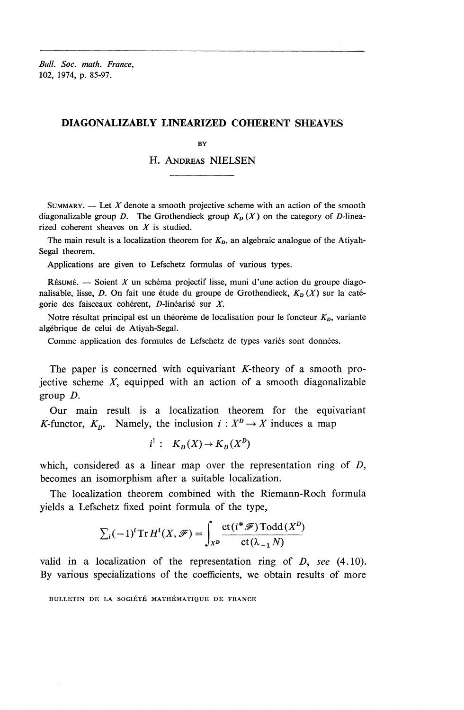*Bull. Soc. math. France,* 102, 1974, p. 85-97.

#### **DIAGONALIZABLY LINEARIZED COHERENT SHEAVES**

**BY** 

## H. ANDREAS NIELSEN

SUMMARY. — Let *X* denote a smooth projective scheme with an action of the smooth diagonalizable group D. The Grothendieck group  $K_D(X)$  on the category of D-linearized coherent sheaves on *X* is studied.

The main result is a localization theorem for  $K<sub>D</sub>$ , an algebraic analogue of the Atiyah-Segal theorem.

Applications are given to Lefschetz formulas of various types.

RÉSUMÉ. — Soient  $X$  un schéma projectif lisse, muni d'une action du groupe diagonalisable, lisse, *D*. On fait une étude du groupe de Grothendieck,  $K_D(X)$  sur la catégorie des faisceaux cohérent, D-linéarisé sur X.

Notre résultat principal est un théorème de localisation pour le foncteur  $K<sub>D</sub>$ , variante algebrique de celui de Atiyah-Segal.

Comme application des formules de Lefschetz de types variés sont données.

The paper is concerned with equivariant  $K$ -theory of a smooth projective scheme *X,* equipped with an action of a smooth diagonalizable group *D.*

Our main result is a localization theorem for the equivariant *K*-functor,  $K_p$ . Namely, the inclusion  $i : X^p \to X$  induces a map

$$
i^!: K_D(X) \to K_D(X^D)
$$

which, considered as a linear map over the representation ring of *D,* becomes an isomorphism after a suitable localization.

The localization theorem combined with the Riemann-Roch formula yields a Lefschetz fixed point formula of the type,

$$
\sum_{i} (-1)^{i} \operatorname{Tr} H^{i}(X, \mathscr{F}) = \int_{X^{D}} \frac{\operatorname{ct}(i^{*} \mathscr{F}) \operatorname{Todd}(X^{D})}{\operatorname{ct}(\lambda_{-1} N)}
$$

valid in a localization of the representation ring of *D, see* (4.10). By various specializations of the coefficients, we obtain results of more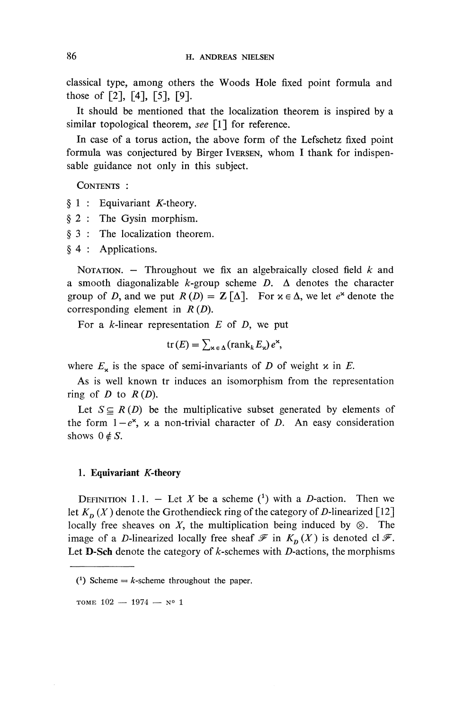classical type, among others the Woods Hole fixed point formula and those of [2], [4], [5], [9].

It should be mentioned that the localization theorem is inspired by a similar topological theorem, *see* [1] for reference.

**In** case of a torus action, the above form of the Lefschetz fixed point formula was conjectured by Birger IVERSEN, whom I thank for indispensable guidance not only in this subject.

CONTENTS :

- $§ 1$ : Equivariant *K*-theory.
- § 2 : The Gysin morphism.
- § 3 : The localization theorem.
- § 4 : Applications.

NOTATION. — Throughout we fix an algebraically closed field *k* and a smooth diagonalizable  $k$ -group scheme  $D$ .  $\Delta$  denotes the character group of *D*, and we put  $R(D) = \mathbb{Z}[\Delta]$ . For  $x \in \Delta$ , we let  $e^x$  denote the corresponding element in *R (D).*

For a  $k$ -linear representation  $E$  of  $D$ , we put

$$
\operatorname{tr}(E) = \sum_{\mathbf{x} \in \Delta} (\operatorname{rank}_k E_{\mathbf{x}}) e^{\mathbf{x}},
$$

where  $E^{\prime}_{\star}$  is the space of semi-invariants of *D* of weight  $\times$  in *E*.

As is well known tr induces an isomorphism from the representation ring of  $D$  to  $R(D)$ .

Let  $S \subseteq R(D)$  be the multiplicative subset generated by elements of the form  $1 - e^x$ , x a non-trivial character of *D*. An easy consideration shows  $0 \notin S$ .

#### **1. Equivariant** *K-theory*

DEFINITION 1.1. - Let X be a scheme  $(1)$  with a D-action. Then we let  $K_p(X)$  denote the Grothendieck ring of the category of D-linearized [12] locally free sheaves on  $X$ , the multiplication being induced by  $\otimes$ . The image of a *D*-linearized locally free sheaf  $\mathscr F$  in  $K_p(X)$  is denoted cl $\mathscr F$ . Let **D-Sch** denote the category of  $k$ -schemes with  $D$ -actions, the morphisms

<sup>(1)</sup> Scheme  $=$  *k*-scheme throughout the paper.

TOME  $102 - 1974 - N^{\circ} 1$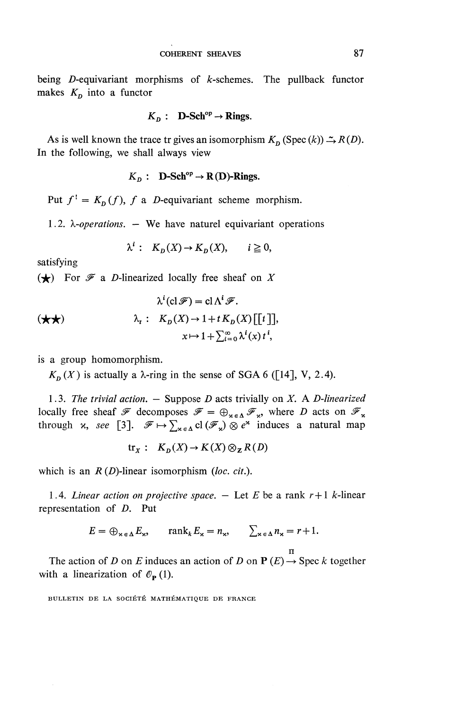being D-equivariant morphisms of  $k$ -schemes. The pullback functor makes  $K_p$  into a functor

$$
K_{\mathbf{D}}: \quad \mathbf{D}\text{-Sch}^{\text{op}} \to \mathbf{Rings}.
$$

As is well known the trace tr gives an isomorphism  $K_p$  (Spec  $(k)$ )  $\rightarrow R(D)$ . In the following, we shall always view

$$
K_p
$$
: **D-Sch<sup>op</sup>**  $\rightarrow$  R(D)-Rings.

Put  $f' = K_D(f)$ , f a *D*-equivariant scheme morphism.

1.2.  $\lambda$ -*operations*.  $-$  We have naturel equivariant operations

$$
\lambda^i: K_D(X) \to K_D(X), \qquad i \ge 0,
$$

satisfying

 $(\star)$  For  $\mathcal F$  a *D*-linearized locally free sheaf on X

$$
\lambda^{i}(\text{cl }\mathscr{F}) = \text{cl }\Lambda^{i}\mathscr{F}.
$$
  
\n
$$
\lambda_{t}: K_{D}(X) \to 1 + t K_{D}(X)[[t]],
$$
  
\n
$$
x \mapsto 1 + \sum_{i=0}^{\infty} \lambda^{i}(x) t^{i},
$$

is a group homomorphism.

 $K_p$  (X) is actually a  $\lambda$ -ring in the sense of SGA 6 ([14], V, 2.4).

1.3. *The trivial action. —* Suppose *D* acts trivially on *X.* A *D-linearized* locally free sheaf  $\mathcal F$  decomposes  $\mathcal F = \bigoplus_{\kappa \in \Delta} \mathcal F_{\kappa}$ , where *D* acts on  $\mathcal F_{\kappa}$ , through x, see [3].  $\mathcal F \mapsto \sum_{\kappa \in \Delta} cl(\mathcal F_{\kappa}) \otimes e^{\kappa}$  induces a natural map

$$
\text{tr}_X: K_D(X) \to K(X) \otimes_{\mathbf{Z}} R(D)
$$

which is an  $R(D)$ -linear isomorphism (loc. cit.).

1.4. *Linear action on projective space.*  $-$  Let *E* be a rank  $r+1$  *k*-linear representation of *D.* Put

$$
E = \bigoplus_{\mathbf{x} \in \Delta} E_{\mathbf{x}}, \quad \operatorname{rank}_{k} E_{\mathbf{x}} = n_{\mathbf{x}}, \quad \sum_{\mathbf{x} \in \Delta} n_{\mathbf{x}} = r + 1.
$$

n

The action of *D* on *E* induces an action of *D* on  $P(E) \rightarrow$  Spec *k* together with a linearization of  $\mathcal{O}_P(1)$ .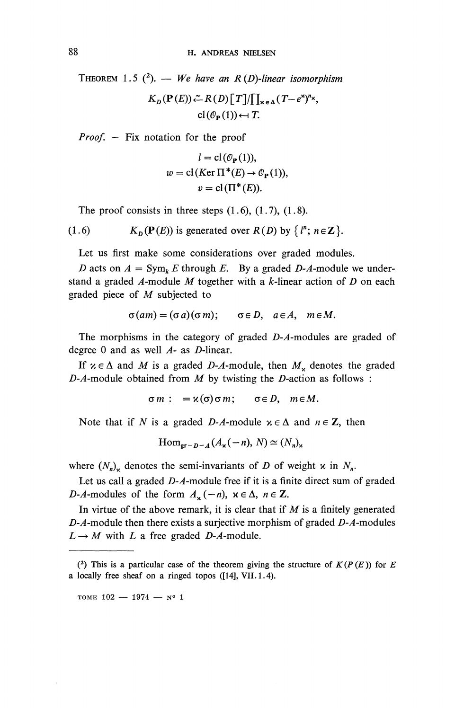THEOREM 1.5  $(2)$ . — We have an R (D)-linear isomorphism

 $K_n(\mathbf{P}(E)) \xleftarrow{\sim} R(D)\left[T\right]/\prod_{\kappa \in \Lambda} (T-e^{\kappa})^n \times$  $cl(\mathcal{O}_{\mathbf{P}}(1)) \leftarrow T$ .

*Proof.* — Fix notation for the proof

$$
l = \text{cl}(\mathcal{O}_{\mathbf{P}}(1)),
$$
  

$$
w = \text{cl}(Ker \Pi^*(E) \to \mathcal{O}_{\mathbf{P}}(1)),
$$
  

$$
v = \text{cl}(\Pi^*(E)).
$$

The proof consists in three steps  $(1.6)$ ,  $(1.7)$ ,  $(1.8)$ .

(1.6) 
$$
K_D(\mathbf{P}(E))
$$
 is generated over  $R(D)$  by  $\{l^n; n \in \mathbb{Z}\}$ .

Let us first make some considerations over graded modules.

*D* acts on  $A = \text{Sym}_k E$  through *E*. By a graded *D-A*-module we understand a graded A-module M together with a k-linear action of D on each graded piece of *M* subjected to

$$
\sigma(am)=(\sigma a)(\sigma m);\qquad \sigma\in D,\quad a\in A,\quad m\in M.
$$

The morphisms in the category of graded  $D-A$ -modules are graded of degree 0 and as well A- as D-linear.

If  $x \in \Delta$  and M is a graded D-A-module, then  $M_x$  denotes the graded  $D$ - $A$ -module obtained from  $M$  by twisting the  $D$ -action as follows :

$$
\sigma m: = \varkappa(\sigma)\sigma m; \quad \sigma \in D, \quad m \in M.
$$

Note that if N is a graded D-A-module  $x \in \Delta$  and  $n \in \mathbb{Z}$ , then

$$
\operatorname{Hom}_{\operatorname{gr}-D-A}(A_{\mathbf{x}}(-n), N) \simeq (N_n)_{\mathbf{x}}
$$

where  $(N_n)_{\mathbf{x}}$  denotes the semi-invariants of *D* of weight x in  $N_n$ .

Let us call a graded  $D-A$ -module free if it is a finite direct sum of graded *D-A*-modules of the form  $A_x(-n)$ ,  $x \in \Delta$ ,  $n \in \mathbb{Z}$ .

In virtue of the above remark, it is clear that if  $M$  is a finitely generated *D-A*-module then there exists a surjective morphism of graded *D-A*-modules  $L \rightarrow M$  with *L* a free graded *D-A*-module.

TOME  $102 - 1974 - N^o 1$ 

<sup>(&</sup>lt;sup>2</sup>) This is a particular case of the theorem giving the structure of  $K(P(E))$  for E a locally free sheaf on a ringed topos ([14], VII. 1.4).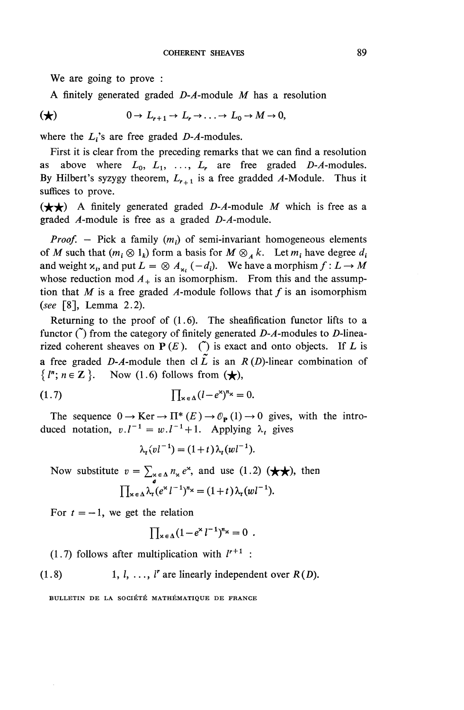We are going to prove :

A finitely generated graded *D-A-moduie M* has a resolution

$$
(\bigstar) \qquad \qquad 0 \to L_{r+1} \to L_r \to \ldots \to L_0 \to M \to 0,
$$

where the  $L_i$ 's are free graded  $D-A$ -modules.

First it is clear from the preceding remarks that we can find a resolution as above where  $L_0$ ,  $L_1$ , ...,  $L_r$  are free graded D- $A$ -modules. By Hilbert's syzygy theorem,  $L_{r+1}$  is a free gradded A-Module. Thus it suffices to prove.

 $(\star \star)$  A finitely generated graded *D-A*-module *M* which is free as a graded  $A$ -module is free as a graded  $D-A$ -module.

*Proof.* – Pick a family  $(m_i)$  of semi-invariant homogeneous elements of *M* such that  $(m_i \otimes 1_k)$  form a basis for  $M \otimes_A k$ . Let  $m_i$  have degree  $d_i$ and weight  $x_i$ , and put  $L = \otimes A_{x_i} (-d_i)$ . We have a morphism  $f: L \to M$ whose reduction mod  $A_+$  is an isomorphism. From this and the assumption that M is a free graded A-module follows that f is an isomorphism *(see* [8], Lemma 2.2).

Returning to the proof of  $(1.6)$ . The sheafification functor lifts to a functor  $\tilde{O}$  from the category of finitely generated *D-A*-modules to *D*-linearized coherent sheaves on  $P(E)$ . ( $\tilde{O}$ ) is exact and onto objects. If *L* is **.** a free graded D-A-module then cl  $\tilde{L}$  is an  $R(D)$ -linear combination of  $\{l^n; n \in \mathbb{Z}\}\.$  Now (1.6) follows from  $(\bigstar)$ ,

$$
(1.7) \qquad \prod_{\kappa \in \Delta} (l - e^{\kappa})^{n_{\kappa}} = 0.
$$

The sequence  $0 \to \text{Ker} \to \text{II}^*(E) \to \mathcal{O}_P(1) \to 0$  gives, with the introduced notation,  $v.l^{-1} = w.l^{-1} + 1$ . Applying  $\lambda_t$  gives

$$
\lambda_t (vl^{-1}) = (1+t) \lambda_t (wl^{-1}).
$$

Now substitute  $v = \sum_{\alpha \in A} n_{\alpha} e^{\alpha}$ , and use (1.2)  $(\star \star)$ , then  $\prod_{\mathbf{x} \in \Delta} \lambda_t (e^{\mathbf{x}} l^{-1})^n \mathbf{x} = (1+t) \lambda_t (wl^{-1}).$ 

For  $t = -1$ , we get the relation<br>  $\prod_{\mathbf{x} \in \Delta} (1 - e^{\mathbf{x}} l^{-1})$ 

$$
\prod_{\mathbf{x}\in\Delta}(1-e^{\mathbf{x}}l^{-1})^{n_{\mathbf{x}}}=0.
$$

 $(1.7)$  follows after multiplication with  $l^{r+1}$ :

 $(1.8)$  1, *l*, ..., *l'* are linearly independent over  $R(D)$ .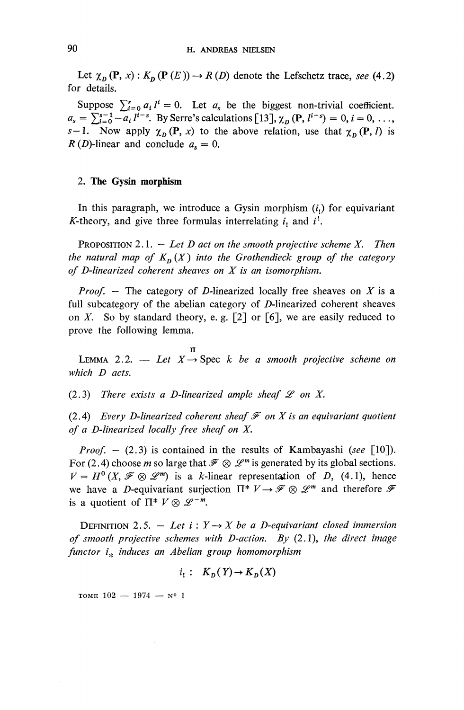Let  $\chi_{D}$  (P, *x*) :  $K_{D}$  (P (*E*))  $\rightarrow$  *R* (*D*) denote the Lefschetz trace, *see* (4.2) for details.

Suppose  $\sum_{i=0}^{r} a_i l^i = 0$ . Let  $a_s$  be the biggest non-trivial coefficient.  $a_s = \sum_{i=0}^{s-1} -a_i l^{i-i}$  $u_i l^i = 0$ . Let  $a_s$  be the biggest non-trivial coefficient<br>
By Serre's calculations [13],  $\chi_D$  (P,  $l^{i-s}$ ) = 0,  $i = 0, ...$  $s-1$ . Now apply  $\chi_p(\mathbf{P},x)$  to the above relation, use that  $\chi_p(\mathbf{P},l)$  is  $R(D)$ -linear and conclude  $a_s = 0$ .

#### **2. The Gysin morphism**

In this paragraph, we introduce a Gysin morphism  $(i)$  for equivariant K-theory, and give three formulas interrelating  $i_1$  and  $i^1$ .

PROPOSITION 2.1. — *Let D act on the smooth projective scheme X. Then the natural map of*  $K_p(X)$  *into the Grothendieck group of the category of D-linearized coherent sheaves on X is an isomorphism.*

*Proof. —* The category of D-linearized locally free sheaves on *X* is a full subcategory of the abelian category of  $D$ -linearized coherent sheaves on *X.* So by standard theory, e. g. [2] or [6], we are easily reduced to prove the following lemma.

n LEMMA 2.2.  $-$  Let  $X \rightarrow$  Spec k be a smooth projective scheme on *which D acts.*

 $(2.3)$  There exists a D-linearized ample sheaf  $\mathscr L$  on X.

(2.4) *Every D-linearized coherent sheaf*  $\mathcal F$  *on X is an equivariant quotient of a D-linearized locally free sheaf on X.*

*Proof. —* (2.3) is contained in the results of Kambayashi *(see* [10]). For (2.4) choose *m* so large that  $\mathcal{F} \otimes \mathcal{L}^m$  is generated by its global sections.  $V = H^0(X, \mathcal{F} \otimes \mathcal{L}^m)$  is a *k*-linear representation of D, (4.1), hence we have a *D*-equivariant surjection  $\Pi^* V \to \mathcal{F} \otimes \mathcal{L}^m$  and therefore  $\mathcal{F}$ is a quotient of  $\Pi^* V \otimes \mathscr{L}^{-m}$ .

DEFINITION 2.5.  $-$  Let  $i: Y \rightarrow X$  be a D-equivariant closed immersion *of smooth projective schemes with D-action. By* (2.1), *the direct image functor i^ induces an Abelian group homomorphism*

$$
i_1: K_D(Y) \to K_D(X)
$$

TOME  $102 - 1974 - N^0$  1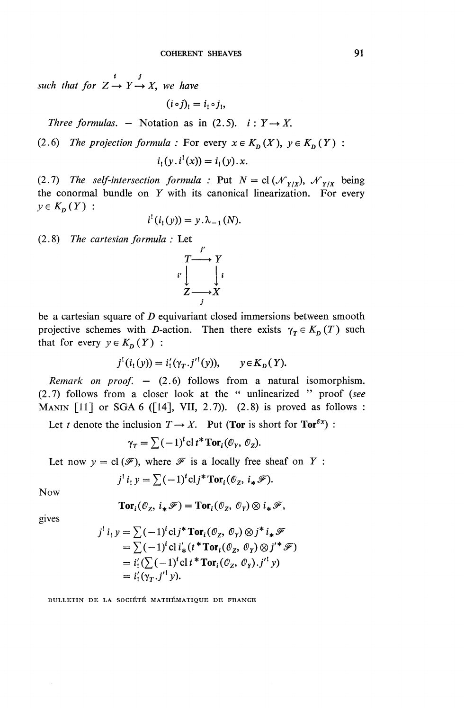*i J such that for*  $Z \rightarrow Y \rightarrow X$ , we have

$$
(i\circ j)_! = i_! \circ j_! ,
$$

*Three formulas.* – Notation as in  $(2.5)$ .  $i: Y \rightarrow X$ .

(2.6) The projection formula : For every  $x \in K_n(X)$ ,  $y \in K_n(Y)$  :

$$
i_1(y, i^1(x)) = i_1(y) . x.
$$

(2.7) The self-intersection formula : Put  $N = cl(\mathcal{N}_{Y/X})$ ,  $\mathcal{N}_{Y/X}$  being the conormal bundle on *Y* with its canonical linearization. For every  $y \in K_p(Y)$  :

$$
i^!(i_1(y)) = y \cdot \lambda_{-1}(N).
$$

(2.8) *The cartesian formula :* Let

$$
\begin{array}{ccc}\n & r \\
\downarrow & & Y \\
\downarrow & & \downarrow \\
Z & \to & X \\
\end{array}
$$

be a cartesian square of *D* equivariant closed immersions between smooth projective schemes with *D*-action. Then there exists  $\gamma_T \in K_D(T)$  such that for every  $y \in K_p(Y)$  :

$$
j^1(i_1(y)) = i'_1(\gamma_T . j'^1(y)), \qquad y \in K_D(Y).
$$

*Remark on proof. —* (2.6) follows from a natural isomorphism. (2.7) follows from a closer look at the " unlinearized " proof *(see* MANIN  $\lceil 11 \rceil$  or SGA 6 ( $\lceil 14 \rceil$ , VII, 2.7)). (2.8) is proved as follows :

Let *t* denote the inclusion  $T \rightarrow X$ . Put (Tor is short for Tor<sup> $\mathcal{O}(\mathbf{x})$ ):</sup>

$$
\gamma_T = \sum (-1)^i \operatorname{cl} t^* \operatorname{Tor}_i(\mathcal{O}_Y, \mathcal{O}_Z).
$$

Let now  $y = cl(\mathcal{F})$ , where  $\mathcal F$  is a locally free sheaf on *Y* :

$$
j^{!} i_1 y = \sum (-1)^{i} \operatorname{cl} j^* \operatorname{Tor}_i(\mathcal{O}_Z, i_* \mathscr{F}).
$$

Now

$$
\mathbf{Tor}_i(\mathcal{O}_Z, i_*\mathscr{F}) = \mathbf{Tor}_i(\mathcal{O}_Z, \mathcal{O}_Y) \otimes i_*\mathscr{F},
$$

gives

$$
j^{1} i_{1} y = \sum (-1)^{i} \text{cl} j^{*} \text{Tor}_{i}(\mathcal{O}_{Z}, \mathcal{O}_{Y}) \otimes j^{*} i_{*} \mathcal{F}
$$
  
=  $\sum (-1)^{i} \text{cl} i'_{*} (t^{*} \text{Tor}_{i}(\mathcal{O}_{Z}, \mathcal{O}_{Y}) \otimes j'^{*} \mathcal{F})$   
=  $i'_{1} (\sum (-1)^{i} \text{cl} t^{*} \text{Tor}_{i}(\mathcal{O}_{Z}, \mathcal{O}_{Y}).j'^{1} y)$   
=  $i'_{1} (\gamma_{T}.j'^{1} y).$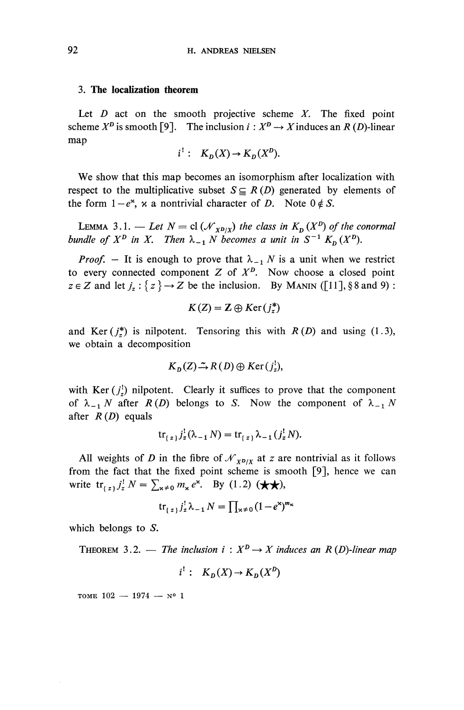#### **3. The localization theorem**

Let *D* act on the smooth projective scheme *X.* The fixed point scheme  $X^D$  is smooth [9]. The inclusion  $i: X^D \to X$  induces an *R* (*D*)-linear map

$$
i^!: K_D(X) \to K_D(X^D).
$$

We show that this map becomes an isomorphism after localization with respect to the multiplicative subset  $S \subseteq R(D)$  generated by elements of the form  $1-e^x$ , x a nontrivial character of *D*. Note  $0 \notin S$ .

LEMMA 3.1. — Let  $N = \text{cl } (\mathcal{N}_{X^D/X})$  the class in  $K_D (X^D)$  of the conormal *bundle of*  $X^D$  *in* X. Then  $\lambda_{-1}$  N becomes a unit in  $S^{-1}$   $K_D$   $(X^D)$ .

*Proof.* – It is enough to prove that  $\lambda_{-1}$  *N* is a unit when we restrict to every connected component  $Z$  of  $X^D$ . Now choose a closed point  $z \in Z$  and let  $j_z : \{ z \} \rightarrow Z$  be the inclusion. By MANIN ([11], § 8 and 9) :

$$
K(Z) = \mathbf{Z} \oplus Ker(j_z^*)
$$

and Ker( $j_z^*$ ) is nilpotent. Tensoring this with  $R(D)$  and using (1.3), we obtain a decomposition

$$
K_{D}(Z) \xrightarrow{\sim} R(D) \oplus Ker(j_{z}^{!}),
$$

with Ker  $(j^!)$  nilpotent. Clearly it suffices to prove that the component of  $\lambda_{-1} N$  after  $R(D)$  belongs to *S*. Now the component of  $\lambda_{-1} N$ after *R(D)* equals

$$
\text{tr}_{\{z\}} j_z^! (\lambda_{-1} N) = \text{tr}_{\{z\}} \lambda_{-1} (j_z^! N).
$$

All weights of *D* in the fibre of  $\mathcal{N}_{X^D/X}$  at *z* are nontrivial as it follows from the fact that the fixed point scheme is smooth [9], hence we can write  $\text{tr}_{\{z\}} j_z^{\dagger} N = \sum_{\kappa \neq 0} m_{\kappa} e^{\kappa}$ . By (1.2) ( $\bigstar \bigstar$ ),

$$
\operatorname{tr}_{\{z\}}j_z^!\lambda_{-1}N=\prod_{\mathbf{x}\neq 0}(1-e^{\mathbf{x}})^{m_{\mathbf{x}}}
$$

which belongs to  $S$ .

THEOREM 3.2. — *The inclusion*  $i: X^D \to X$  *induces an R (D)-linear map* 

$$
i^!: K_D(X) \to K_D(X^D)
$$

TOME  $102 - 1974 - N^0 1$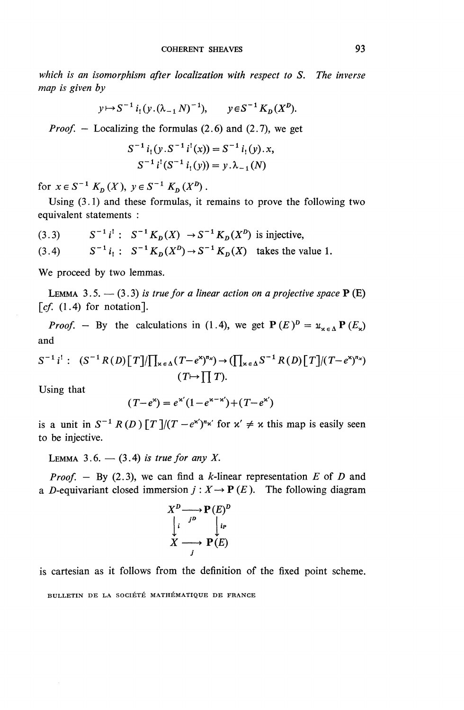*which is an isomorphism after localization with respect to S. The inverse map is given by*

$$
y \mapsto S^{-1} i_!(y \cdot (\lambda_{-1} N)^{-1}), \qquad y \in S^{-1} K_D(X^D).
$$

*Proof. —* Localizing the formulas (2.6) and (2.7), we get

$$
S^{-1} i_1(y.S^{-1} i^1(x)) = S^{-1} i_1(y).x,
$$
  

$$
S^{-1} i^1(S^{-1} i_1(y)) = y.\lambda_{-1}(N)
$$

for  $x \in S^{-1}$   $K_p(X)$ ,  $y \in S^{-1}$   $K_p(X^p)$ .

Using (3.1) and these formulas, it remains to prove the following two equivalent statements :

(3.3)  $S^{-1} i' : S^{-1} K_D(X) \to S^{-1} K_D(X^D)$  is injective,

 $(3.4)$  $i_1: S^{-1}K_D(X^D) \rightarrow S^{-1}K_D(X)$  takes the value 1.

We proceed by two lemmas.

LEMMA 3.5.  $-$  (3.3) is true for a linear action on a projective space  $P(E)$  $\lceil cf. (1.4)$  for notation].

*Proof.* - By the calculations in (1.4), we get  $P(E)^D = u_{\kappa \in \Delta} P(E_{\kappa})$ and

$$
S^{-1} i^{!}: (S^{-1}R(D)[T]/\prod_{x \in \Delta} (T-e^{x})^{n_x}) \to (\prod_{x \in \Delta} S^{-1}R(D)[T]/(T-e^{x})^{n_x})
$$
  
(T $\mapsto \prod T$ ).

Using that

$$
(T - e^{x}) = e^{x'}(1 - e^{x - x'}) + (T - e^{x'})
$$

is a unit in  $S^{-1} R(D) [T]/(T-e^{x})^{n_x}$  for  $x' \neq x$  this map is easily seen to be injective.

LEMMA 3.6.  $-$  (3.4) is true for any X.

*Proof.* – By (2.3), we can find a *k*-linear representation *E* of *D* and a D-equivariant closed immersion  $j : X \to \mathbf{P}(E)$ . The following diagram

$$
X^{D} \longrightarrow P(E)^{D}
$$
  
\n
$$
\downarrow^{i} \qquad \qquad \downarrow^{i}
$$
  
\n
$$
X \longrightarrow P(E)
$$

is cartesian as it follows from the definition of the fixed point scheme.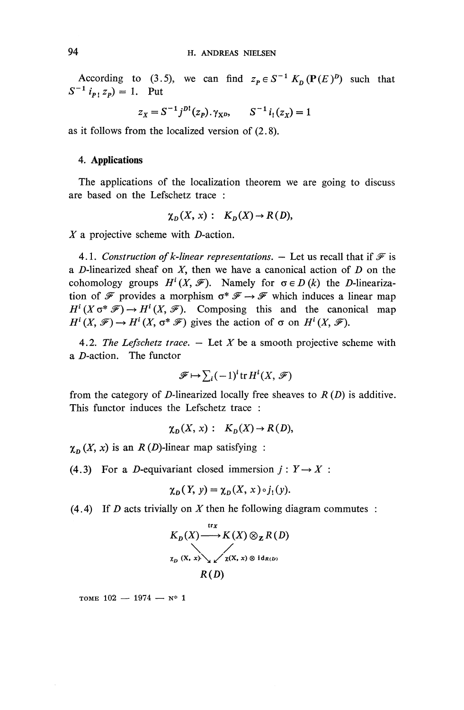According to (3.5), we can find  $z_p \in S^{-1} K_p(\mathbf{P}(E)^p)$  such that  $S^{-1}$   $i_p$ ,  $z_p$ ) = 1. Put

$$
z_X = S^{-1}j^{D!}(z_P) \cdot \gamma_{X^{D}}, \qquad S^{-1}i_!(z_X) = 1
$$

as it follows from the localized version of (2.8).

### **4. Applications**

The applications of the localization theorem we are going to discuss are based on the Lefschetz trace :

$$
\chi_D(X, x): K_D(X) \to R(D),
$$

*X* a projective scheme with *D*-action.

4.1. Construction of k-linear representations.  $-$  Let us recall that if  $\mathcal F$  is a D-linearized sheaf on *X,* then we have a canonical action of *D* on the cohomology groups  $H^i(X, \mathcal{F})$ . Namely for  $\sigma \in D(k)$  the D-linearization of  $\mathcal F$  provides a morphism  $\sigma^* \mathcal F \to \mathcal F$  which induces a linear map  $H^i(X \circ^* \mathcal{F}) \to H^i(X, \mathcal{F})$ . Composing this and the canonical map  $H^i(X \sigma^* \mathcal{F}) \to H^i(X, \mathcal{F})$ . Composing this and the cano:<br>  $H^i(X, \mathcal{F}) \to H^i(X, \sigma^* \mathcal{F})$  gives the action of  $\sigma$  on  $H^i(X, \mathcal{F})$ .

4.2. The Lefschetz trace.  $-$  Let X be a smooth projective scheme with a  $D$ -action. The functor

$$
\mathscr{F} \mapsto \sum_i (-1)^i \operatorname{tr} H^i(X, \mathscr{F})
$$

from the category of D-linearized locally free sheaves to  $R(D)$  is additive. This functor induces the Lefschetz trace :

$$
\chi_D(X, x): K_D(X) \to R(D),
$$

 $\chi_{\text{D}} (X, x)$  is an *R* (*D*)-linear map satisfying :

(4.3) For a *D*-equivariant closed immersion  $j: Y \rightarrow X$ :

$$
\chi_D(Y, y) = \chi_D(X, x) \circ j_1(y).
$$

(4.4) If *D* acts trivially on *X* then he following diagram commutes

$$
\chi_D(Y, y) = \chi_D(X, x) \circ j_1(y)
$$
  
ally on X then he following  

$$
K_D(X) \xrightarrow{\text{tr } x} K(X) \otimes_{\mathbb{Z}} R(D)
$$

$$
\chi_D(X, x) \otimes_{\mathbb{Z}} \chi(X, x) \otimes id_{R(D)}
$$

$$
R(D)
$$

TOME  $102 - 1974 - N^o 1$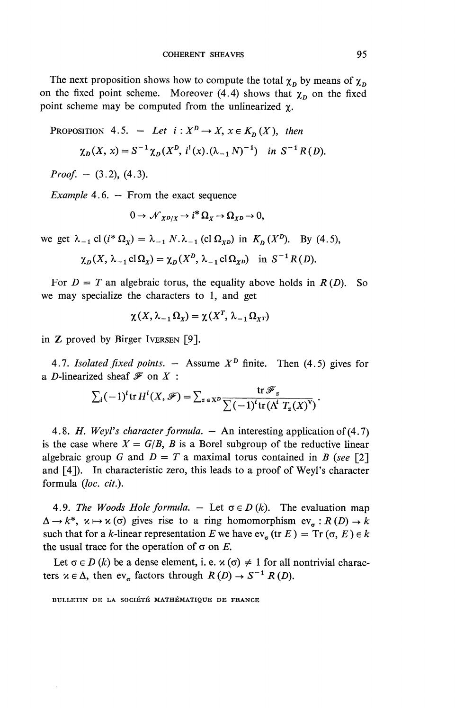The next proposition shows how to compute the total  $\chi_p$  by means of  $\chi_p$ on the fixed point scheme. Moreover (4.4) shows that  $\chi_n$  on the fixed point scheme may be computed from the unlinearized  $\gamma$ .

PROPOSITION 4.5. - Let  $i: X^D \to X$ ,  $x \in K_D(X)$ , then

$$
\chi_D(X, x) = S^{-1} \chi_D(X^D, i^!(x).(\lambda_{-1} N)^{-1})
$$
 in  $S^{-1} R(D)$ .

*Proof. -* (3.2), (4.3).

*Example* 4.6. — From the exact sequence

 $0 \rightarrow \mathcal{N}_{X} p_X \rightarrow i^* \Omega_X \rightarrow \Omega_{X} p \rightarrow 0,$ 

we get  $\lambda_{-1}$  cl  $(i^* \Omega_x) = \lambda_{-1} N \cdot \lambda_{-1}$  (cl  $\Omega_{xp}$ ) in  $K_p (X^p)$ . By (4.5),

$$
\chi_D(X, \lambda_{-1} \text{cl}\Omega_X) = \chi_D(X^D, \lambda_{-1} \text{cl}\Omega_{XD})
$$
 in  $S^{-1}R(D)$ .

For  $D = T$  an algebraic torus, the equality above holds in  $R(D)$ . So we may specialize the characters to 1, and get

$$
\chi(X, \lambda_{-1}\Omega_X) = \chi(X^T, \lambda_{-1}\Omega_{X^T})
$$

in Z proved by Birger IVERSEN [9].

4.7. *Isolated fixed points.*  $-$  Assume  $X^D$  finite. Then (4.5) gives for a D-linearized sheaf *^* on *X :*

ized sheat *Y* on *X* :  
\n
$$
\sum_i (-1)^i \operatorname{tr} H^i(X, \mathcal{F}) = \sum_{z \in X^D} \frac{\operatorname{tr} \mathcal{F}_z}{\sum (-1)^i \operatorname{tr} (\Lambda^i T_z(X)^V)}.
$$

4.8. *H. WeyFs character formula. —* An interesting application of (4.7) is the case where  $X = G/B$ , B is a Borel subgroup of the reductive linear algebraic group *G* and  $D = T$  a maximal torus contained in *B* (see [2] and  $[4]$ ). In characteristic zero, this leads to a proof of Weyl's character formula *(loc. cit.).*

4.9. The Woods Hole formula.  $-$  Let  $\sigma \in D(k)$ . The evaluation map  $\Delta \rightarrow k^*$ ,  $\kappa \mapsto \kappa$  ( $\sigma$ ) gives rise to a ring homomorphism ev<sub> $\sigma$ </sub> :  $R(D) \rightarrow k$ such that for a *k*-linear representation *E* we have  $ev_{\sigma}$  (tr *E* ) = Tr ( $\sigma$ , *E*)  $\in$  *k* the usual trace for the operation of  $\sigma$  on  $E$ .

Let  $\sigma \in D(k)$  be a dense element, i. e.  $\kappa(\sigma) \neq 1$  for all nontrivial characters  $x \in \Delta$ , then ev\_ factors through  $R(D) \rightarrow S^{-1} R(D)$ .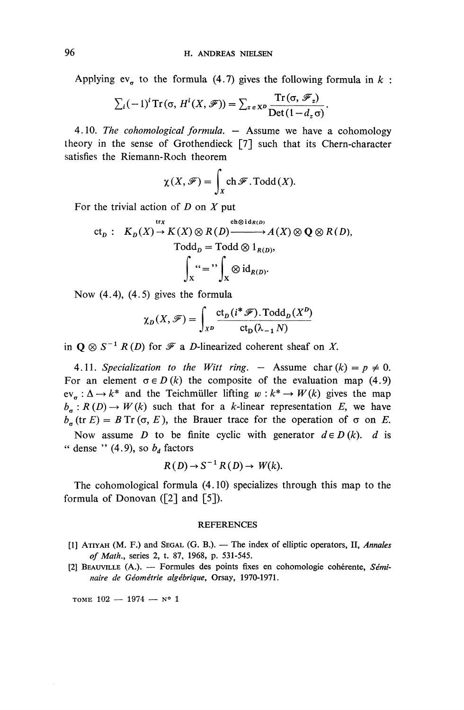Applying ev<sub>σ</sub> to the formula (4.7) gives the following formula in 
$$
k
$$
:  

$$
\sum_i (-1)^i \operatorname{Tr}(\sigma, H^i(X, \mathcal{F})) = \sum_{z \in X^D} \frac{\operatorname{Tr}(\sigma, \mathcal{F}_z)}{\operatorname{Det}(1 - d_z \sigma)}.
$$

4.10. *The cohomological formula. —* Assume we have a cohomology theory in the sense of Grothendieck [7] such that its Chern-character satisfies the Riemann-Roch theorem

$$
\chi(X,\mathscr{F})=\int_X\mathrm{ch}\,\mathscr{F}\mathrm{.}\mathrm{Todd}(X).
$$

For the trivial action of *D* on *X* put

$$
\mathrm{ct}_D: \quad K_D(X) \to K(X) \otimes R(D) \xrightarrow{\mathrm{ch} \otimes \mathrm{id}_{R(D)}} A(X) \otimes \mathbf{Q} \otimes R(D),
$$
\n
$$
\mathrm{Todd}_D = \mathrm{Todd} \otimes 1_{R(D)},
$$
\n
$$
\int_X \alpha = \int_X \otimes \mathrm{id}_{R(D)}.
$$

Now (4.4), (4.5) gives the formula

$$
\chi_D(X,\mathscr{F}) = \int_{X^D} \frac{\text{ct}_D(i^*\mathscr{F}).\text{Total}_D(X^D)}{\text{ct}_D(\lambda_{-1}N)}
$$

in  $Q \otimes S^{-1} R(D)$  for  $\mathscr F$  a *D*-linearized coherent sheaf on *X*.

4.11. Specialization to the Witt ring.  $-$  Assume char  $(k) = p \neq 0$ . For an element  $\sigma \in D(k)$  the composite of the evaluation map (4.9)  $ev_{\sigma} : \Delta \rightarrow k^*$  and the Teichmüller lifting  $w : k^* \rightarrow W(k)$  gives the map  $b_{\sigma} : R (D) \rightarrow W (k)$  such that for a *k*-linear representation *E*, we have  $b_{\sigma}$  (tr *E*) = *B* Tr ( $\sigma$ , *E*), the Brauer trace for the operation of  $\sigma$  on *E*.

Now assume *D* to be finite cyclic with generator  $d \in D(k)$ . *d* is " dense "  $(4.9)$ , so  $b_d$  factors

$$
R(D) \to S^{-1} R(D) \to W(k).
$$

The cohomological formula (4.10) specializes through this map to the formula of Donovan  $(2]$  and  $[5]$ ).

#### REFERENCES

- [1] ATIYAH (M. F.) and SEGAL (G. B.). The index of elliptic operators, II, *Annales of Math.,* series 2, t. 87, 1968, p. 531-545.
- [2] BEAUVILLE (A.). Formules des points fixes en cohomologie coherente, *Seminaire de Geometric algebrique,* Orsay, 1970-1971.

TOME  $102 - 1974 - N^o$  1